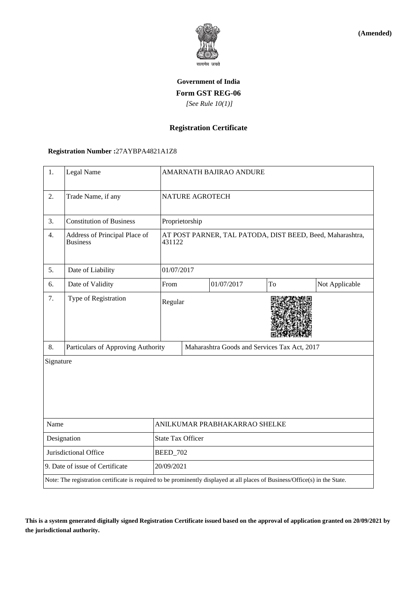

**(Amended)**

# **Government of India Form GST REG-06**  *[See Rule 10(1)]*

## **Registration Certificate**

### **Registration Number :**27AYBPA4821A1Z8

| 1.                              | Legal Name                                                                                                                   |                               | <b>AMARNATH BAJIRAO ANDURE</b>                                      |            |    |                |  |
|---------------------------------|------------------------------------------------------------------------------------------------------------------------------|-------------------------------|---------------------------------------------------------------------|------------|----|----------------|--|
| 2.                              | Trade Name, if any                                                                                                           |                               | <b>NATURE AGROTECH</b>                                              |            |    |                |  |
| 3.                              | <b>Constitution of Business</b>                                                                                              |                               | Proprietorship                                                      |            |    |                |  |
| 4.                              | Address of Principal Place of<br><b>Business</b>                                                                             |                               | AT POST PARNER, TAL PATODA, DIST BEED, Beed, Maharashtra,<br>431122 |            |    |                |  |
| 5.                              | Date of Liability                                                                                                            |                               | 01/07/2017                                                          |            |    |                |  |
| 6.                              | Date of Validity                                                                                                             | From                          |                                                                     | 01/07/2017 | To | Not Applicable |  |
| 7.                              | Type of Registration                                                                                                         |                               | Regular                                                             |            |    |                |  |
| 8.                              | Particulars of Approving Authority                                                                                           |                               | Maharashtra Goods and Services Tax Act, 2017                        |            |    |                |  |
| Signature                       |                                                                                                                              |                               |                                                                     |            |    |                |  |
| Name                            |                                                                                                                              | ANILKUMAR PRABHAKARRAO SHELKE |                                                                     |            |    |                |  |
| Designation                     |                                                                                                                              | <b>State Tax Officer</b>      |                                                                     |            |    |                |  |
| Jurisdictional Office           |                                                                                                                              | <b>BEED_702</b>               |                                                                     |            |    |                |  |
| 9. Date of issue of Certificate |                                                                                                                              |                               | 20/09/2021                                                          |            |    |                |  |
|                                 | Note: The registration certificate is required to be prominently displayed at all places of Business/Office(s) in the State. |                               |                                                                     |            |    |                |  |

**This is a system generated digitally signed Registration Certificate issued based on the approval of application granted on 20/09/2021 by the jurisdictional authority.**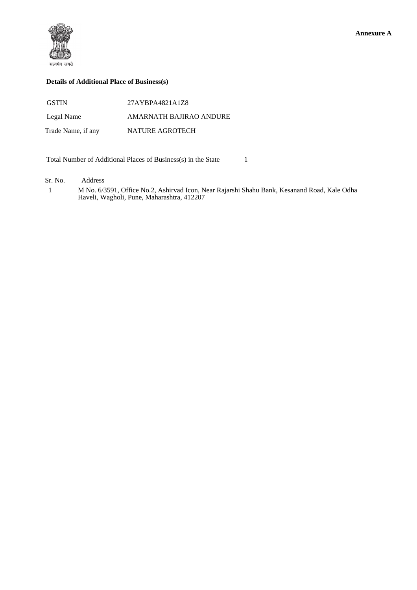

#### **Details of Additional Place of Business(s)**

| <b>GSTIN</b>       | 27AYBPA4821A1Z8         |
|--------------------|-------------------------|
| Legal Name         | AMARNATH BAJIRAO ANDURE |
| Trade Name, if any | NATURE AGROTECH         |

Total Number of Additional Places of Business(s) in the State 1

Sr. No. Address

 1 M No. 6/3591, Office No.2, Ashirvad Icon, Near Rajarshi Shahu Bank, Kesanand Road, Kale Odha Haveli, Wagholi, Pune, Maharashtra, 412207